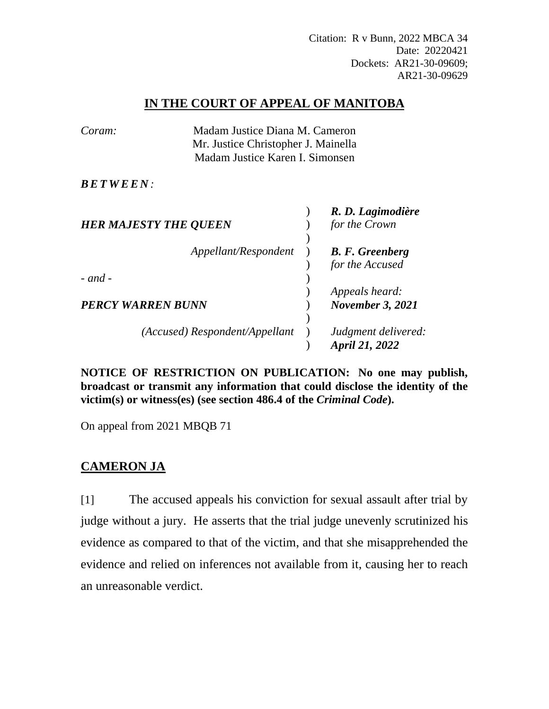Citation: R v Bunn, 2022 MBCA 34 Date: 20220421 Dockets: AR21-30-09609; AR21-30-09629

## **IN THE COURT OF APPEAL OF MANITOBA**

| Coram:                   | Madam Justice Diana M. Cameron                                         |  |                                       |
|--------------------------|------------------------------------------------------------------------|--|---------------------------------------|
|                          | Mr. Justice Christopher J. Mainella<br>Madam Justice Karen I. Simonsen |  |                                       |
| <b>BETWEEN:</b>          |                                                                        |  |                                       |
|                          | <b>HER MAJESTY THE QUEEN</b>                                           |  | R. D. Lagimodière<br>for the Crown    |
|                          |                                                                        |  |                                       |
|                          | Appellant/Respondent                                                   |  | <b>B.</b> F. Greenberg                |
|                          |                                                                        |  | for the Accused                       |
| $-$ and $-$              |                                                                        |  |                                       |
|                          |                                                                        |  | Appeals heard:                        |
| <b>PERCY WARREN BUNN</b> |                                                                        |  | <b>November 3, 2021</b>               |
|                          |                                                                        |  |                                       |
|                          | (Accused) Respondent/Appellant                                         |  | Judgment delivered:<br>April 21, 2022 |

**NOTICE OF RESTRICTION ON PUBLICATION: No one may publish, broadcast or transmit any information that could disclose the identity of the victim(s) or witness(es) (see section 486.4 of the** *Criminal Code***).**

On appeal from 2021 MBQB 71

## **CAMERON JA**

[1] The accused appeals his conviction for sexual assault after trial by judge without a jury. He asserts that the trial judge unevenly scrutinized his evidence as compared to that of the victim, and that she misapprehended the evidence and relied on inferences not available from it, causing her to reach an unreasonable verdict.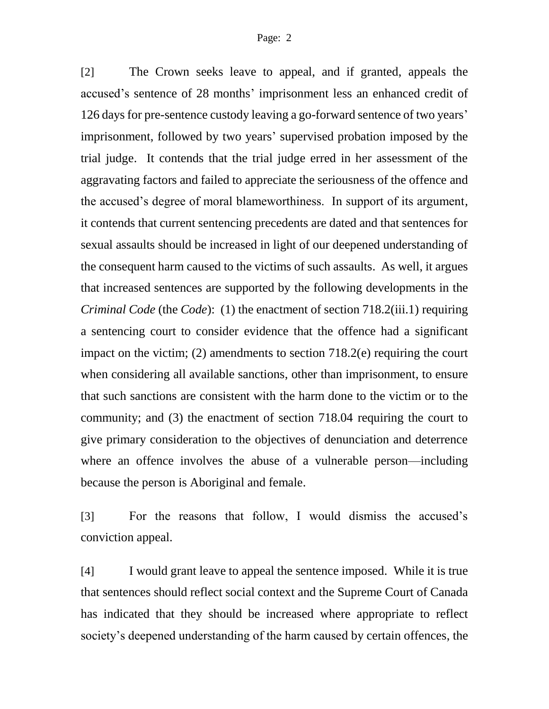[2] The Crown seeks leave to appeal, and if granted, appeals the accused's sentence of 28 months' imprisonment less an enhanced credit of 126 days for pre-sentence custody leaving a go-forward sentence of two years' imprisonment, followed by two years' supervised probation imposed by the trial judge. It contends that the trial judge erred in her assessment of the aggravating factors and failed to appreciate the seriousness of the offence and the accused's degree of moral blameworthiness. In support of its argument, it contends that current sentencing precedents are dated and that sentences for sexual assaults should be increased in light of our deepened understanding of the consequent harm caused to the victims of such assaults. As well, it argues that increased sentences are supported by the following developments in the *Criminal Code* (the *Code*): (1) the enactment of section 718.2(iii.1) requiring a sentencing court to consider evidence that the offence had a significant impact on the victim; (2) amendments to section 718.2(e) requiring the court when considering all available sanctions, other than imprisonment, to ensure that such sanctions are consistent with the harm done to the victim or to the community; and (3) the enactment of section 718.04 requiring the court to give primary consideration to the objectives of denunciation and deterrence where an offence involves the abuse of a vulnerable person—including because the person is Aboriginal and female.

[3] For the reasons that follow, I would dismiss the accused's conviction appeal.

[4] I would grant leave to appeal the sentence imposed. While it is true that sentences should reflect social context and the Supreme Court of Canada has indicated that they should be increased where appropriate to reflect society's deepened understanding of the harm caused by certain offences, the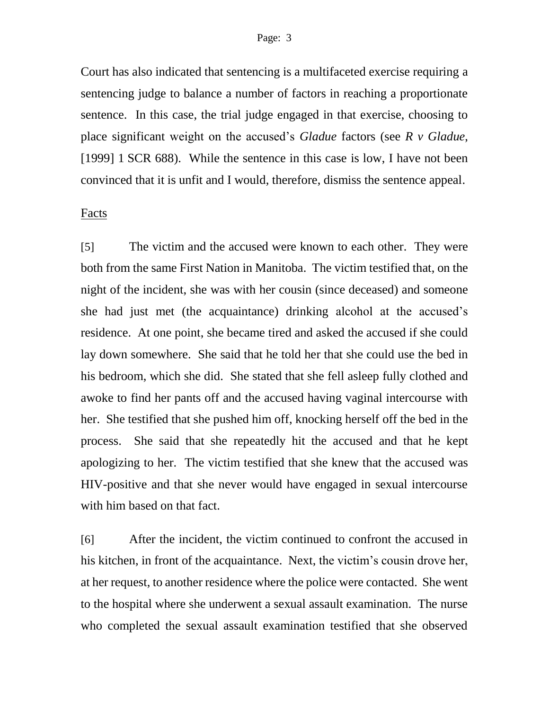#### Page: 3

Court has also indicated that sentencing is a multifaceted exercise requiring a sentencing judge to balance a number of factors in reaching a proportionate sentence. In this case, the trial judge engaged in that exercise, choosing to place significant weight on the accused's *Gladue* factors (see *R v Gladue*, [1999] 1 SCR 688). While the sentence in this case is low, I have not been convinced that it is unfit and I would, therefore, dismiss the sentence appeal.

#### Facts

[5] The victim and the accused were known to each other. They were both from the same First Nation in Manitoba. The victim testified that, on the night of the incident, she was with her cousin (since deceased) and someone she had just met (the acquaintance) drinking alcohol at the accused's residence. At one point, she became tired and asked the accused if she could lay down somewhere. She said that he told her that she could use the bed in his bedroom, which she did. She stated that she fell asleep fully clothed and awoke to find her pants off and the accused having vaginal intercourse with her. She testified that she pushed him off, knocking herself off the bed in the process. She said that she repeatedly hit the accused and that he kept apologizing to her. The victim testified that she knew that the accused was HIV-positive and that she never would have engaged in sexual intercourse with him based on that fact.

[6] After the incident, the victim continued to confront the accused in his kitchen, in front of the acquaintance. Next, the victim's cousin drove her, at her request, to another residence where the police were contacted. She went to the hospital where she underwent a sexual assault examination. The nurse who completed the sexual assault examination testified that she observed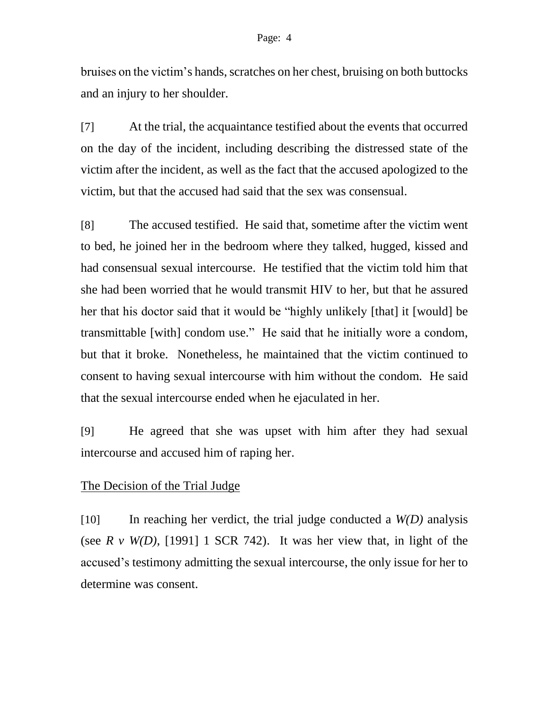bruises on the victim's hands, scratches on her chest, bruising on both buttocks and an injury to her shoulder.

[7] At the trial, the acquaintance testified about the events that occurred on the day of the incident, including describing the distressed state of the victim after the incident, as well as the fact that the accused apologized to the victim, but that the accused had said that the sex was consensual.

[8] The accused testified. He said that, sometime after the victim went to bed, he joined her in the bedroom where they talked, hugged, kissed and had consensual sexual intercourse. He testified that the victim told him that she had been worried that he would transmit HIV to her, but that he assured her that his doctor said that it would be "highly unlikely [that] it [would] be transmittable [with] condom use." He said that he initially wore a condom, but that it broke. Nonetheless, he maintained that the victim continued to consent to having sexual intercourse with him without the condom. He said that the sexual intercourse ended when he ejaculated in her.

[9] He agreed that she was upset with him after they had sexual intercourse and accused him of raping her.

#### The Decision of the Trial Judge

[10] In reaching her verdict, the trial judge conducted a *W(D)* analysis (see  $R \, v \, W(D)$ , [1991] 1 SCR 742). It was her view that, in light of the accused's testimony admitting the sexual intercourse, the only issue for her to determine was consent.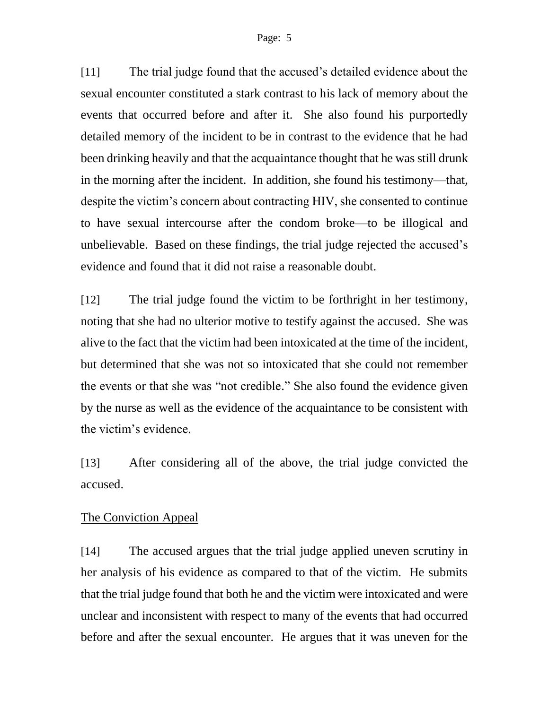#### Page: 5

[11] The trial judge found that the accused's detailed evidence about the sexual encounter constituted a stark contrast to his lack of memory about the events that occurred before and after it. She also found his purportedly detailed memory of the incident to be in contrast to the evidence that he had been drinking heavily and that the acquaintance thought that he was still drunk in the morning after the incident. In addition, she found his testimony—that, despite the victim's concern about contracting HIV, she consented to continue to have sexual intercourse after the condom broke—to be illogical and unbelievable. Based on these findings, the trial judge rejected the accused's evidence and found that it did not raise a reasonable doubt.

[12] The trial judge found the victim to be forthright in her testimony, noting that she had no ulterior motive to testify against the accused. She was alive to the fact that the victim had been intoxicated at the time of the incident, but determined that she was not so intoxicated that she could not remember the events or that she was "not credible." She also found the evidence given by the nurse as well as the evidence of the acquaintance to be consistent with the victim's evidence.

[13] After considering all of the above, the trial judge convicted the accused.

#### The Conviction Appeal

[14] The accused argues that the trial judge applied uneven scrutiny in her analysis of his evidence as compared to that of the victim. He submits that the trial judge found that both he and the victim were intoxicated and were unclear and inconsistent with respect to many of the events that had occurred before and after the sexual encounter. He argues that it was uneven for the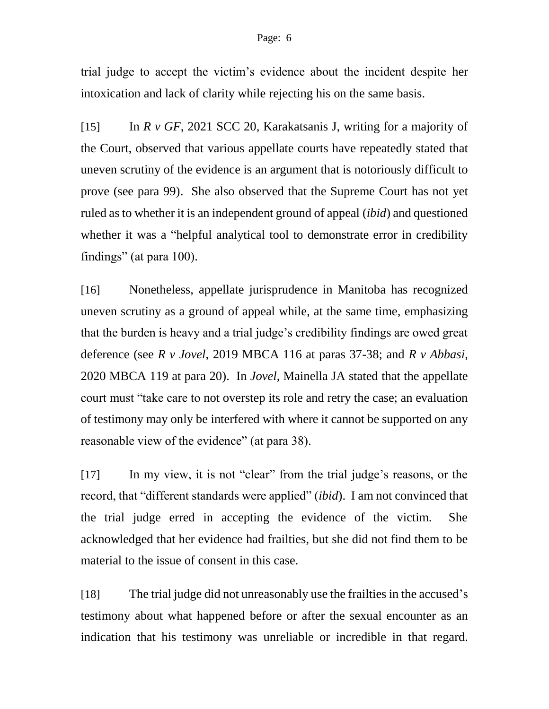#### Page: 6

trial judge to accept the victim's evidence about the incident despite her intoxication and lack of clarity while rejecting his on the same basis.

[15] In *R v GF*, 2021 SCC 20, Karakatsanis J, writing for a majority of the Court, observed that various appellate courts have repeatedly stated that uneven scrutiny of the evidence is an argument that is notoriously difficult to prove (see para 99). She also observed that the Supreme Court has not yet ruled as to whether it is an independent ground of appeal (*ibid*) and questioned whether it was a "helpful analytical tool to demonstrate error in credibility findings" (at para 100).

[16] Nonetheless, appellate jurisprudence in Manitoba has recognized uneven scrutiny as a ground of appeal while, at the same time, emphasizing that the burden is heavy and a trial judge's credibility findings are owed great deference (see *R v Jovel*, 2019 MBCA 116 at paras 37-38; and *R v Abbasi*, 2020 MBCA 119 at para 20). In *Jovel*, Mainella JA stated that the appellate court must "take care to not overstep its role and retry the case; an evaluation of testimony may only be interfered with where it cannot be supported on any reasonable view of the evidence" (at para 38).

[17] In my view, it is not "clear" from the trial judge's reasons, or the record, that "different standards were applied" (*ibid*). I am not convinced that the trial judge erred in accepting the evidence of the victim. She acknowledged that her evidence had frailties, but she did not find them to be material to the issue of consent in this case.

[18] The trial judge did not unreasonably use the frailties in the accused's testimony about what happened before or after the sexual encounter as an indication that his testimony was unreliable or incredible in that regard.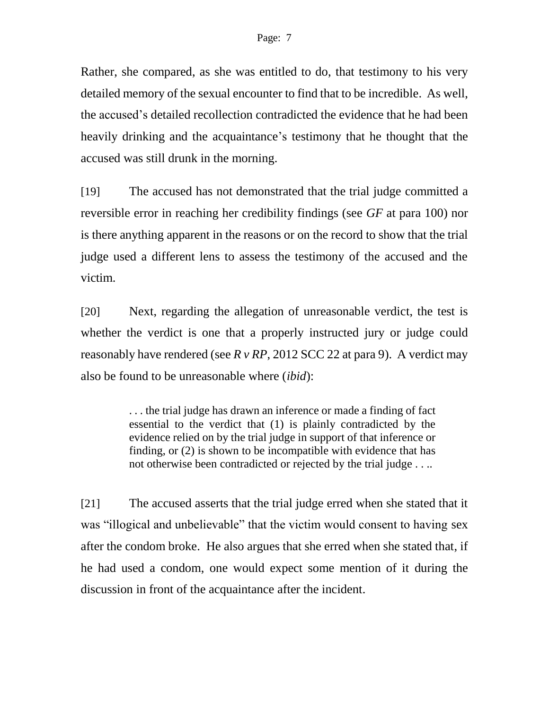Rather, she compared, as she was entitled to do, that testimony to his very detailed memory of the sexual encounter to find that to be incredible. As well, the accused's detailed recollection contradicted the evidence that he had been heavily drinking and the acquaintance's testimony that he thought that the accused was still drunk in the morning.

[19] The accused has not demonstrated that the trial judge committed a reversible error in reaching her credibility findings (see *GF* at para 100) nor is there anything apparent in the reasons or on the record to show that the trial judge used a different lens to assess the testimony of the accused and the victim.

[20] Next, regarding the allegation of unreasonable verdict, the test is whether the verdict is one that a properly instructed jury or judge could reasonably have rendered (see *R v RP*, 2012 SCC 22 at para 9). A verdict may also be found to be unreasonable where (*ibid*):

> . . . the trial judge has drawn an inference or made a finding of fact essential to the verdict that (1) is plainly contradicted by the evidence relied on by the trial judge in support of that inference or finding, or (2) is shown to be incompatible with evidence that has not otherwise been contradicted or rejected by the trial judge . . ..

[21] The accused asserts that the trial judge erred when she stated that it was "illogical and unbelievable" that the victim would consent to having sex after the condom broke. He also argues that she erred when she stated that, if he had used a condom, one would expect some mention of it during the discussion in front of the acquaintance after the incident.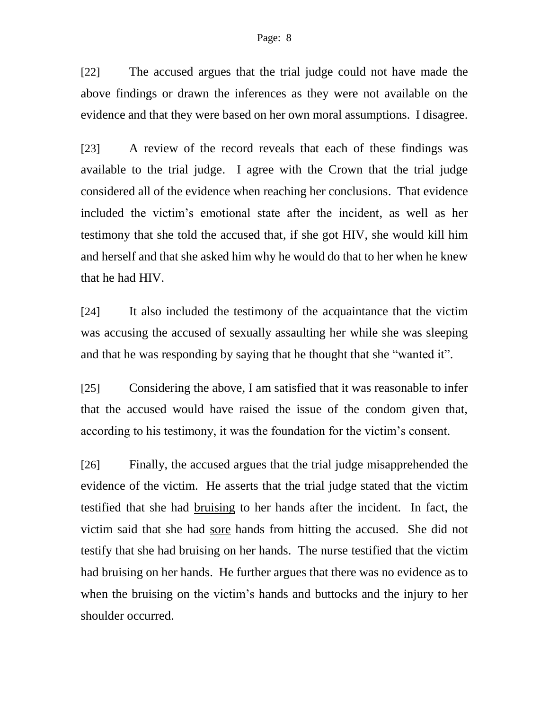#### Page: 8

[22] The accused argues that the trial judge could not have made the above findings or drawn the inferences as they were not available on the evidence and that they were based on her own moral assumptions. I disagree.

[23] A review of the record reveals that each of these findings was available to the trial judge. I agree with the Crown that the trial judge considered all of the evidence when reaching her conclusions. That evidence included the victim's emotional state after the incident, as well as her testimony that she told the accused that, if she got HIV, she would kill him and herself and that she asked him why he would do that to her when he knew that he had HIV.

[24] It also included the testimony of the acquaintance that the victim was accusing the accused of sexually assaulting her while she was sleeping and that he was responding by saying that he thought that she "wanted it".

[25] Considering the above, I am satisfied that it was reasonable to infer that the accused would have raised the issue of the condom given that, according to his testimony, it was the foundation for the victim's consent.

[26] Finally, the accused argues that the trial judge misapprehended the evidence of the victim. He asserts that the trial judge stated that the victim testified that she had bruising to her hands after the incident. In fact, the victim said that she had sore hands from hitting the accused. She did not testify that she had bruising on her hands. The nurse testified that the victim had bruising on her hands. He further argues that there was no evidence as to when the bruising on the victim's hands and buttocks and the injury to her shoulder occurred.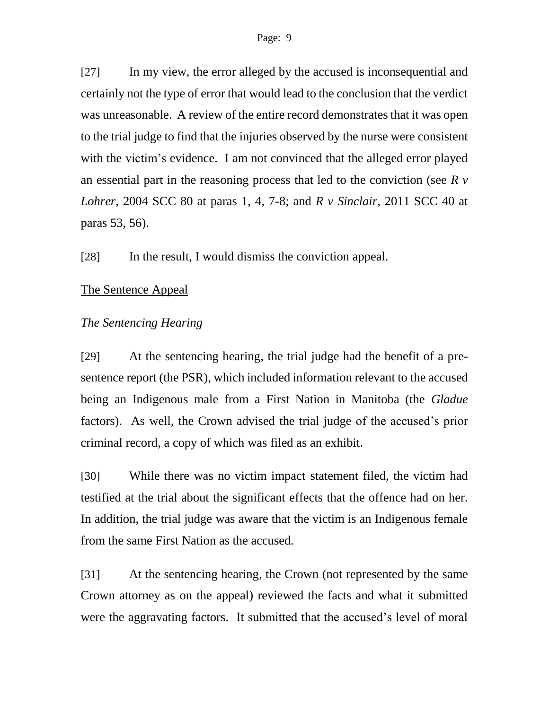[27] In my view, the error alleged by the accused is inconsequential and certainly not the type of error that would lead to the conclusion that the verdict was unreasonable. A review of the entire record demonstrates that it was open to the trial judge to find that the injuries observed by the nurse were consistent with the victim's evidence. I am not convinced that the alleged error played an essential part in the reasoning process that led to the conviction (see *R v Lohrer*, 2004 SCC 80 at paras 1, 4, 7-8; and *R v Sinclair*, 2011 SCC 40 at paras 53, 56).

[28] In the result, I would dismiss the conviction appeal.

## The Sentence Appeal

## *The Sentencing Hearing*

[29] At the sentencing hearing, the trial judge had the benefit of a presentence report (the PSR), which included information relevant to the accused being an Indigenous male from a First Nation in Manitoba (the *Gladue* factors). As well, the Crown advised the trial judge of the accused's prior criminal record, a copy of which was filed as an exhibit.

[30] While there was no victim impact statement filed, the victim had testified at the trial about the significant effects that the offence had on her. In addition, the trial judge was aware that the victim is an Indigenous female from the same First Nation as the accused.

[31] At the sentencing hearing, the Crown (not represented by the same Crown attorney as on the appeal) reviewed the facts and what it submitted were the aggravating factors. It submitted that the accused's level of moral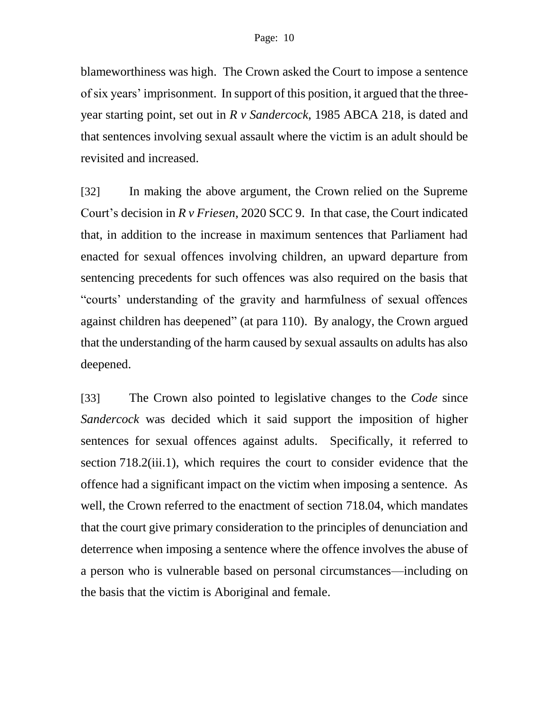blameworthiness was high. The Crown asked the Court to impose a sentence of six years' imprisonment. In support of this position, it argued that the threeyear starting point, set out in *R v Sandercock*, 1985 ABCA 218, is dated and that sentences involving sexual assault where the victim is an adult should be revisited and increased.

[32] In making the above argument, the Crown relied on the Supreme Court's decision in *R v Friesen*, 2020 SCC 9. In that case, the Court indicated that, in addition to the increase in maximum sentences that Parliament had enacted for sexual offences involving children, an upward departure from sentencing precedents for such offences was also required on the basis that "courts' understanding of the gravity and harmfulness of sexual offences against children has deepened" (at para 110). By analogy, the Crown argued that the understanding of the harm caused by sexual assaults on adults has also deepened.

[33] The Crown also pointed to legislative changes to the *Code* since *Sandercock* was decided which it said support the imposition of higher sentences for sexual offences against adults. Specifically, it referred to section 718.2(iii.1), which requires the court to consider evidence that the offence had a significant impact on the victim when imposing a sentence. As well, the Crown referred to the enactment of section 718.04, which mandates that the court give primary consideration to the principles of denunciation and deterrence when imposing a sentence where the offence involves the abuse of a person who is vulnerable based on personal circumstances—including on the basis that the victim is Aboriginal and female.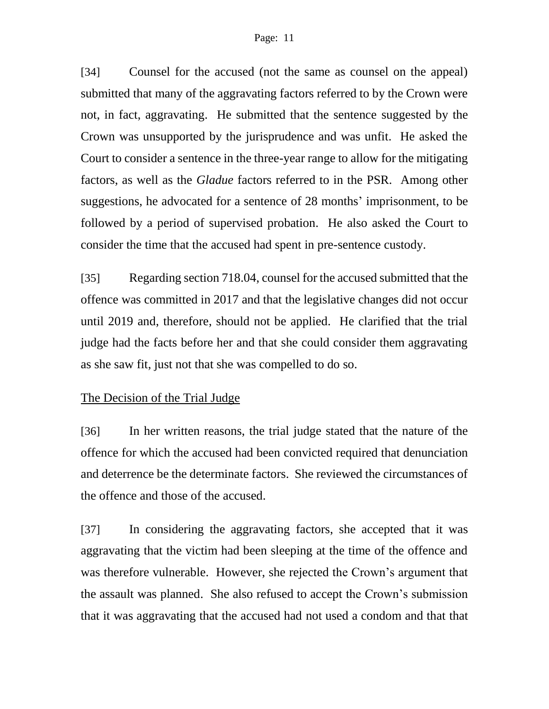#### Page: 11

[34] Counsel for the accused (not the same as counsel on the appeal) submitted that many of the aggravating factors referred to by the Crown were not, in fact, aggravating. He submitted that the sentence suggested by the Crown was unsupported by the jurisprudence and was unfit. He asked the Court to consider a sentence in the three-year range to allow for the mitigating factors, as well as the *Gladue* factors referred to in the PSR. Among other suggestions, he advocated for a sentence of 28 months' imprisonment, to be followed by a period of supervised probation. He also asked the Court to consider the time that the accused had spent in pre-sentence custody.

[35] Regarding section 718.04, counsel for the accused submitted that the offence was committed in 2017 and that the legislative changes did not occur until 2019 and, therefore, should not be applied. He clarified that the trial judge had the facts before her and that she could consider them aggravating as she saw fit, just not that she was compelled to do so.

#### The Decision of the Trial Judge

[36] In her written reasons, the trial judge stated that the nature of the offence for which the accused had been convicted required that denunciation and deterrence be the determinate factors. She reviewed the circumstances of the offence and those of the accused.

[37] In considering the aggravating factors, she accepted that it was aggravating that the victim had been sleeping at the time of the offence and was therefore vulnerable. However, she rejected the Crown's argument that the assault was planned. She also refused to accept the Crown's submission that it was aggravating that the accused had not used a condom and that that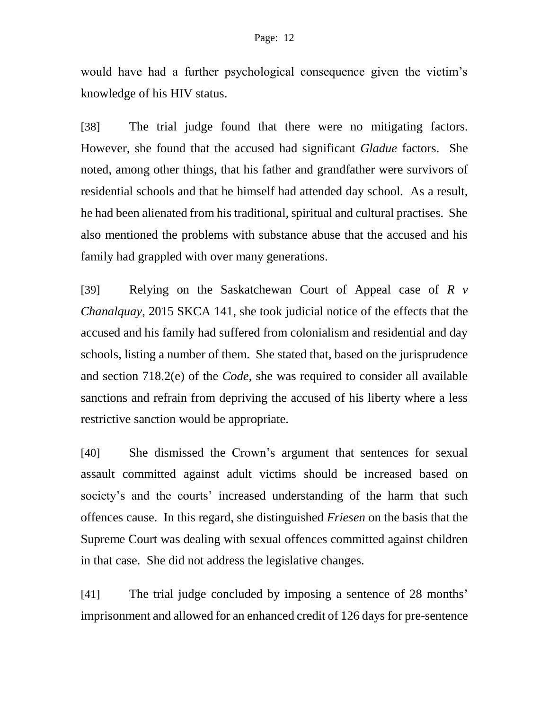would have had a further psychological consequence given the victim's knowledge of his HIV status.

[38] The trial judge found that there were no mitigating factors. However, she found that the accused had significant *Gladue* factors. She noted, among other things, that his father and grandfather were survivors of residential schools and that he himself had attended day school. As a result, he had been alienated from his traditional, spiritual and cultural practises. She also mentioned the problems with substance abuse that the accused and his family had grappled with over many generations.

[39] Relying on the Saskatchewan Court of Appeal case of *R v Chanalquay*, 2015 SKCA 141, she took judicial notice of the effects that the accused and his family had suffered from colonialism and residential and day schools, listing a number of them. She stated that, based on the jurisprudence and section 718.2(e) of the *Code*, she was required to consider all available sanctions and refrain from depriving the accused of his liberty where a less restrictive sanction would be appropriate.

[40] She dismissed the Crown's argument that sentences for sexual assault committed against adult victims should be increased based on society's and the courts' increased understanding of the harm that such offences cause. In this regard, she distinguished *Friesen* on the basis that the Supreme Court was dealing with sexual offences committed against children in that case. She did not address the legislative changes.

[41] The trial judge concluded by imposing a sentence of 28 months' imprisonment and allowed for an enhanced credit of 126 days for pre-sentence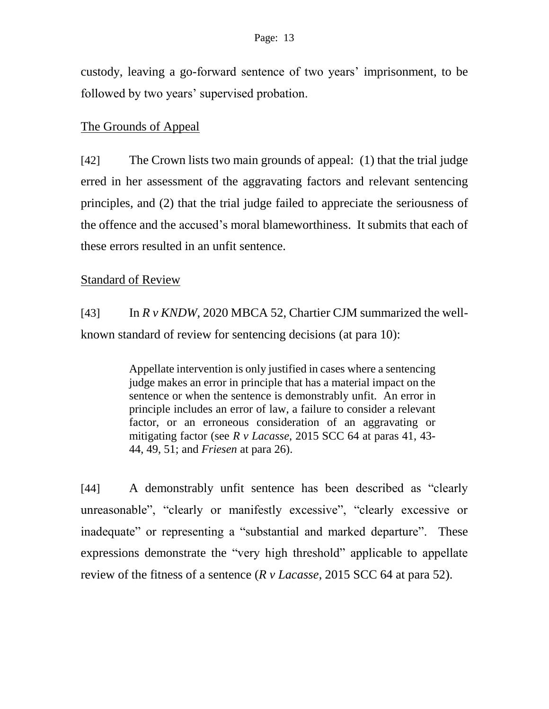custody, leaving a go-forward sentence of two years' imprisonment, to be followed by two years' supervised probation.

#### The Grounds of Appeal

[42] The Crown lists two main grounds of appeal: (1) that the trial judge erred in her assessment of the aggravating factors and relevant sentencing principles, and (2) that the trial judge failed to appreciate the seriousness of the offence and the accused's moral blameworthiness. It submits that each of these errors resulted in an unfit sentence.

#### Standard of Review

 $[43]$  In  $\mathbb{R} \vee \mathbb{K}NDW$ , 2020 MBCA 52, Chartier CJM summarized the wellknown standard of review for sentencing decisions (at para 10):

> Appellate intervention is only justified in cases where a sentencing judge makes an error in principle that has a material impact on the sentence or when the sentence is demonstrably unfit. An error in principle includes an error of law, a failure to consider a relevant factor, or an erroneous consideration of an aggravating or mitigating factor (see *R v Lacasse*, 2015 SCC 64 at paras 41, 43- 44, 49, 51; and *Friesen* at para 26).

[44] A demonstrably unfit sentence has been described as "clearly unreasonable", "clearly or manifestly excessive", "clearly excessive or inadequate" or representing a "substantial and marked departure". These expressions demonstrate the "very high threshold" applicable to appellate review of the fitness of a sentence (*R v Lacasse*, 2015 SCC 64 at para 52).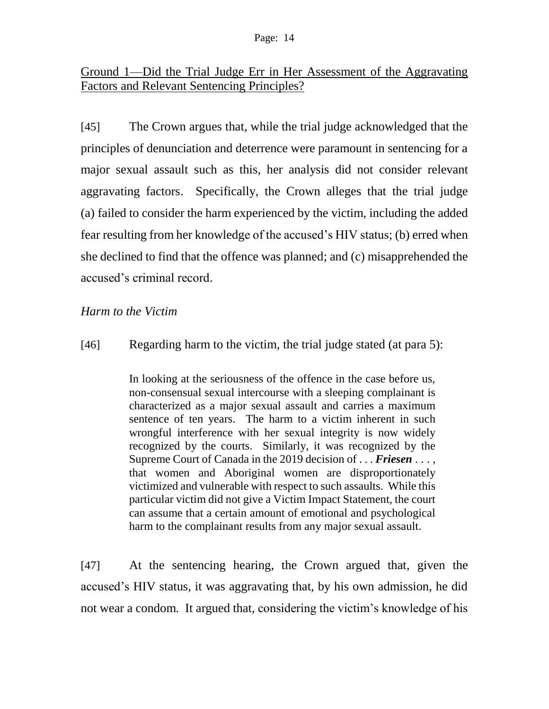# Ground 1—Did the Trial Judge Err in Her Assessment of the Aggravating Factors and Relevant Sentencing Principles?

[45] The Crown argues that, while the trial judge acknowledged that the principles of denunciation and deterrence were paramount in sentencing for a major sexual assault such as this, her analysis did not consider relevant aggravating factors. Specifically, the Crown alleges that the trial judge (a) failed to consider the harm experienced by the victim, including the added fear resulting from her knowledge of the accused's HIV status; (b) erred when she declined to find that the offence was planned; and (c) misapprehended the accused's criminal record.

## *Harm to the Victim*

#### [46] Regarding harm to the victim, the trial judge stated (at para 5):

In looking at the seriousness of the offence in the case before us, non-consensual sexual intercourse with a sleeping complainant is characterized as a major sexual assault and carries a maximum sentence of ten years. The harm to a victim inherent in such wrongful interference with her sexual integrity is now widely recognized by the courts. Similarly, it was recognized by the Supreme Court of Canada in the 2019 decision of . . . *Friesen* . . . , that women and Aboriginal women are disproportionately victimized and vulnerable with respect to such assaults. While this particular victim did not give a Victim Impact Statement, the court can assume that a certain amount of emotional and psychological harm to the complainant results from any major sexual assault.

[47] At the sentencing hearing, the Crown argued that, given the accused's HIV status, it was aggravating that, by his own admission, he did not wear a condom. It argued that, considering the victim's knowledge of his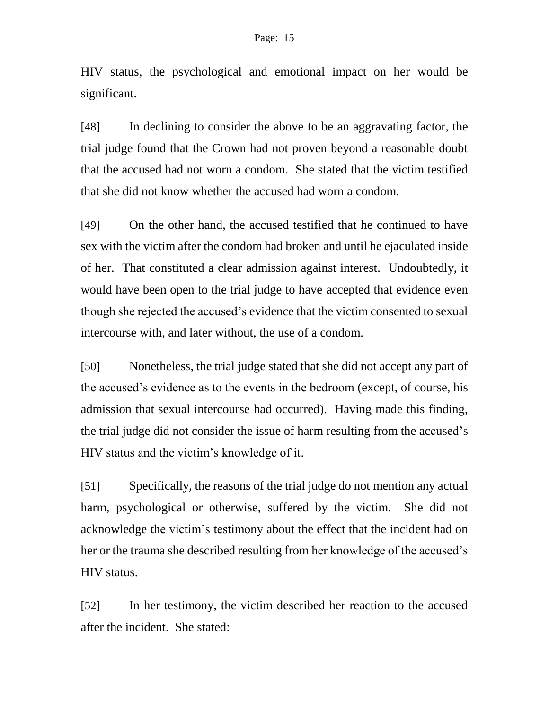HIV status, the psychological and emotional impact on her would be significant.

[48] In declining to consider the above to be an aggravating factor, the trial judge found that the Crown had not proven beyond a reasonable doubt that the accused had not worn a condom. She stated that the victim testified that she did not know whether the accused had worn a condom.

[49] On the other hand, the accused testified that he continued to have sex with the victim after the condom had broken and until he ejaculated inside of her. That constituted a clear admission against interest. Undoubtedly, it would have been open to the trial judge to have accepted that evidence even though she rejected the accused's evidence that the victim consented to sexual intercourse with, and later without, the use of a condom.

[50] Nonetheless, the trial judge stated that she did not accept any part of the accused's evidence as to the events in the bedroom (except, of course, his admission that sexual intercourse had occurred). Having made this finding, the trial judge did not consider the issue of harm resulting from the accused's HIV status and the victim's knowledge of it.

[51] Specifically, the reasons of the trial judge do not mention any actual harm, psychological or otherwise, suffered by the victim. She did not acknowledge the victim's testimony about the effect that the incident had on her or the trauma she described resulting from her knowledge of the accused's HIV status.

[52] In her testimony, the victim described her reaction to the accused after the incident. She stated: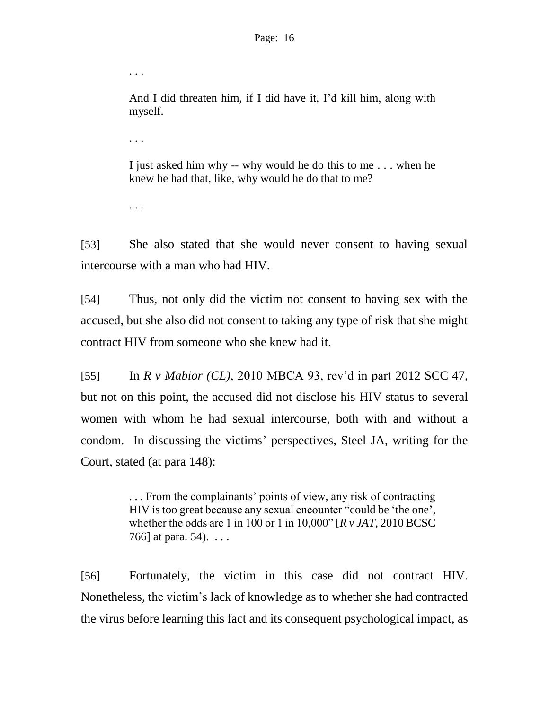And I did threaten him, if I did have it, I'd kill him, along with myself.

. . .

. . .

I just asked him why -- why would he do this to me . . . when he knew he had that, like, why would he do that to me?

. . .

[53] She also stated that she would never consent to having sexual intercourse with a man who had HIV.

[54] Thus, not only did the victim not consent to having sex with the accused, but she also did not consent to taking any type of risk that she might contract HIV from someone who she knew had it.

[55] In *R v Mabior (CL)*, 2010 MBCA 93, rev'd in part 2012 SCC 47, but not on this point, the accused did not disclose his HIV status to several women with whom he had sexual intercourse, both with and without a condom. In discussing the victims' perspectives, Steel JA, writing for the Court, stated (at para 148):

> . . . From the complainants' points of view, any risk of contracting HIV is too great because any sexual encounter "could be 'the one', whether the odds are 1 in 100 or 1 in 10,000" [*R v JAT*, 2010 BCSC 766] at para. 54). . . .

[56] Fortunately, the victim in this case did not contract HIV. Nonetheless, the victim's lack of knowledge as to whether she had contracted the virus before learning this fact and its consequent psychological impact, as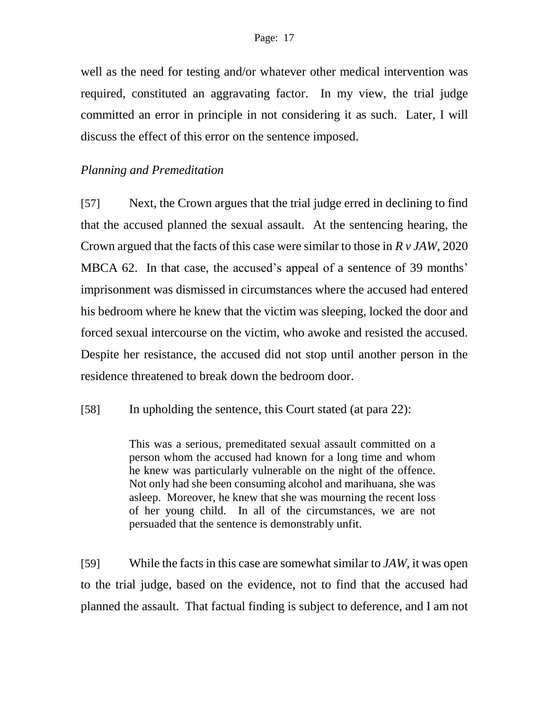well as the need for testing and/or whatever other medical intervention was required, constituted an aggravating factor. In my view, the trial judge committed an error in principle in not considering it as such. Later, I will discuss the effect of this error on the sentence imposed.

## *Planning and Premeditation*

[57] Next, the Crown argues that the trial judge erred in declining to find that the accused planned the sexual assault. At the sentencing hearing, the Crown argued that the facts of this case were similar to those in *R v JAW*, 2020 MBCA 62. In that case, the accused's appeal of a sentence of 39 months' imprisonment was dismissed in circumstances where the accused had entered his bedroom where he knew that the victim was sleeping, locked the door and forced sexual intercourse on the victim, who awoke and resisted the accused. Despite her resistance, the accused did not stop until another person in the residence threatened to break down the bedroom door.

[58] In upholding the sentence, this Court stated (at para 22):

This was a serious, premeditated sexual assault committed on a person whom the accused had known for a long time and whom he knew was particularly vulnerable on the night of the offence. Not only had she been consuming alcohol and marihuana, she was asleep. Moreover, he knew that she was mourning the recent loss of her young child. In all of the circumstances, we are not persuaded that the sentence is demonstrably unfit.

[59] While the facts in this case are somewhat similar to *JAW*, it was open to the trial judge, based on the evidence, not to find that the accused had planned the assault. That factual finding is subject to deference, and I am not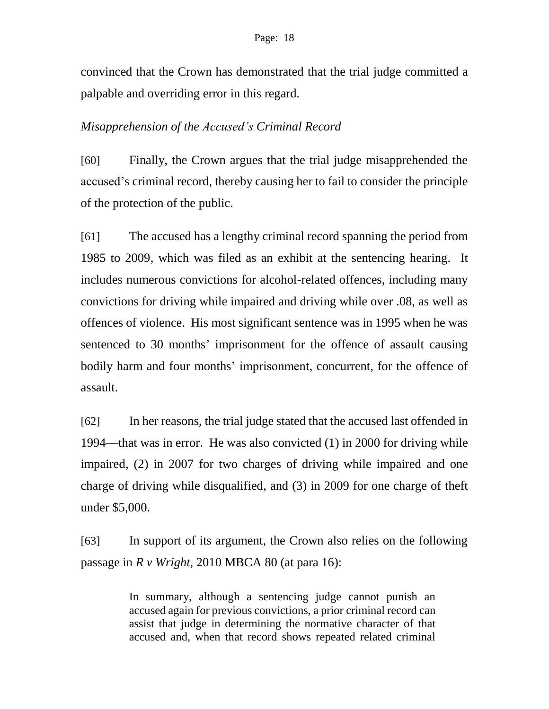convinced that the Crown has demonstrated that the trial judge committed a palpable and overriding error in this regard.

## *Misapprehension of the Accused's Criminal Record*

[60] Finally, the Crown argues that the trial judge misapprehended the accused's criminal record, thereby causing her to fail to consider the principle of the protection of the public.

[61] The accused has a lengthy criminal record spanning the period from 1985 to 2009, which was filed as an exhibit at the sentencing hearing. It includes numerous convictions for alcohol-related offences, including many convictions for driving while impaired and driving while over .08, as well as offences of violence. His most significant sentence was in 1995 when he was sentenced to 30 months' imprisonment for the offence of assault causing bodily harm and four months' imprisonment, concurrent, for the offence of assault.

[62] In her reasons, the trial judge stated that the accused last offended in 1994—that was in error. He was also convicted (1) in 2000 for driving while impaired, (2) in 2007 for two charges of driving while impaired and one charge of driving while disqualified, and (3) in 2009 for one charge of theft under \$5,000.

[63] In support of its argument, the Crown also relies on the following passage in *R v Wright*, 2010 MBCA 80 (at para 16):

> In summary, although a sentencing judge cannot punish an accused again for previous convictions, a prior criminal record can assist that judge in determining the normative character of that accused and, when that record shows repeated related criminal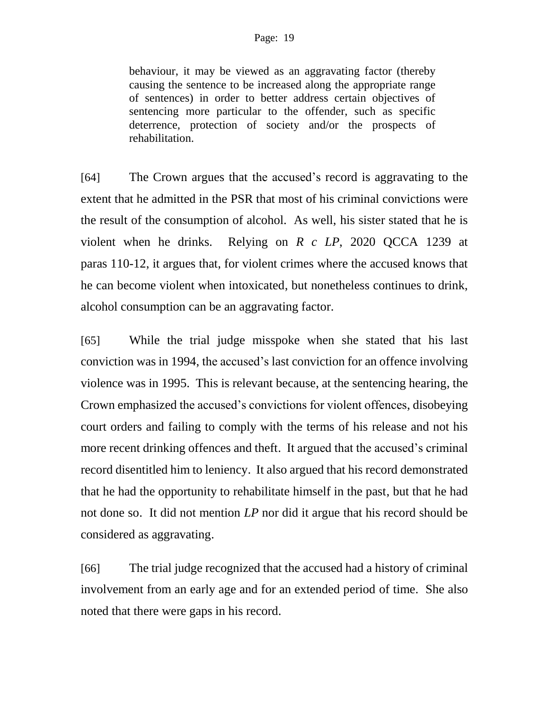behaviour, it may be viewed as an aggravating factor (thereby causing the sentence to be increased along the appropriate range of sentences) in order to better address certain objectives of sentencing more particular to the offender, such as specific deterrence, protection of society and/or the prospects of rehabilitation.

[64] The Crown argues that the accused's record is aggravating to the extent that he admitted in the PSR that most of his criminal convictions were the result of the consumption of alcohol. As well, his sister stated that he is violent when he drinks. Relying on *R c LP*, 2020 QCCA 1239 at paras 110-12, it argues that, for violent crimes where the accused knows that he can become violent when intoxicated, but nonetheless continues to drink, alcohol consumption can be an aggravating factor.

[65] While the trial judge misspoke when she stated that his last conviction was in 1994, the accused's last conviction for an offence involving violence was in 1995. This is relevant because, at the sentencing hearing, the Crown emphasized the accused's convictions for violent offences, disobeying court orders and failing to comply with the terms of his release and not his more recent drinking offences and theft. It argued that the accused's criminal record disentitled him to leniency. It also argued that his record demonstrated that he had the opportunity to rehabilitate himself in the past, but that he had not done so. It did not mention *LP* nor did it argue that his record should be considered as aggravating.

[66] The trial judge recognized that the accused had a history of criminal involvement from an early age and for an extended period of time. She also noted that there were gaps in his record.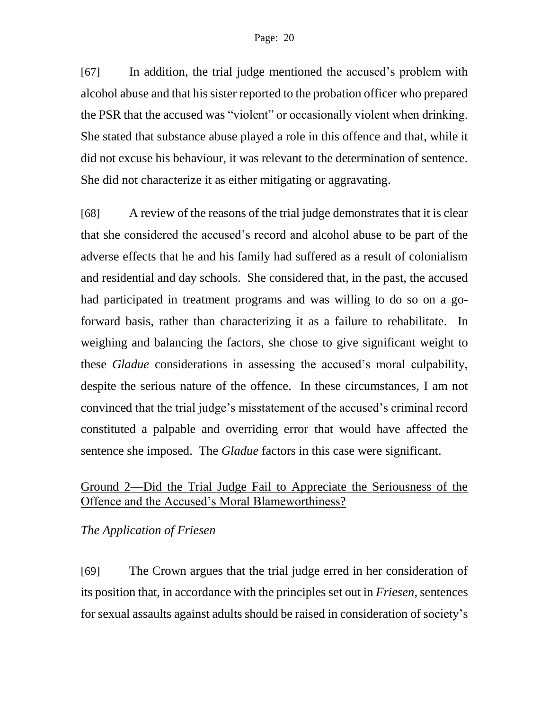[67] In addition, the trial judge mentioned the accused's problem with alcohol abuse and that his sister reported to the probation officer who prepared the PSR that the accused was "violent" or occasionally violent when drinking. She stated that substance abuse played a role in this offence and that, while it did not excuse his behaviour, it was relevant to the determination of sentence. She did not characterize it as either mitigating or aggravating.

[68] A review of the reasons of the trial judge demonstrates that it is clear that she considered the accused's record and alcohol abuse to be part of the adverse effects that he and his family had suffered as a result of colonialism and residential and day schools. She considered that, in the past, the accused had participated in treatment programs and was willing to do so on a goforward basis, rather than characterizing it as a failure to rehabilitate. In weighing and balancing the factors, she chose to give significant weight to these *Gladue* considerations in assessing the accused's moral culpability, despite the serious nature of the offence. In these circumstances, I am not convinced that the trial judge's misstatement of the accused's criminal record constituted a palpable and overriding error that would have affected the sentence she imposed. The *Gladue* factors in this case were significant.

# Ground 2—Did the Trial Judge Fail to Appreciate the Seriousness of the Offence and the Accused's Moral Blameworthiness?

## *The Application of Friesen*

[69] The Crown argues that the trial judge erred in her consideration of its position that, in accordance with the principles set out in *Friesen*, sentences for sexual assaults against adults should be raised in consideration of society's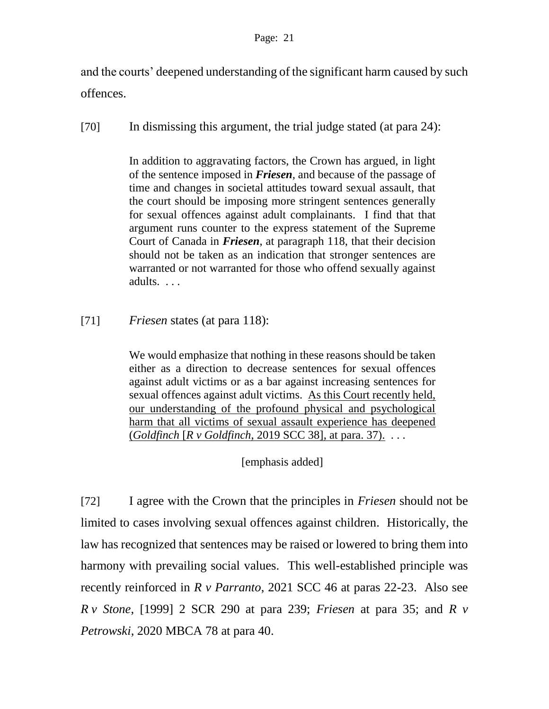and the courts' deepened understanding of the significant harm caused by such offences.

[70] In dismissing this argument, the trial judge stated (at para 24):

In addition to aggravating factors, the Crown has argued, in light of the sentence imposed in *Friesen,* and because of the passage of time and changes in societal attitudes toward sexual assault, that the court should be imposing more stringent sentences generally for sexual offences against adult complainants. I find that that argument runs counter to the express statement of the Supreme Court of Canada in *Friesen*, at paragraph 118, that their decision should not be taken as an indication that stronger sentences are warranted or not warranted for those who offend sexually against adults. . . .

[71] *Friesen* states (at para 118):

We would emphasize that nothing in these reasons should be taken either as a direction to decrease sentences for sexual offences against adult victims or as a bar against increasing sentences for sexual offences against adult victims. As this Court recently held, our understanding of the profound physical and psychological harm that all victims of sexual assault experience has deepened (*Goldfinch* [*R v Goldfinch*, 2019 SCC 38], at para. 37). . . .

[emphasis added]

[72] I agree with the Crown that the principles in *Friesen* should not be limited to cases involving sexual offences against children. Historically, the law has recognized that sentences may be raised or lowered to bring them into harmony with prevailing social values. This well-established principle was recently reinforced in *R v Parranto*, 2021 SCC 46 at paras 22-23. Also see *R v Stone*, [1999] 2 SCR 290 at para 239; *Friesen* at para 35; and *R v Petrowski*, 2020 MBCA 78 at para 40.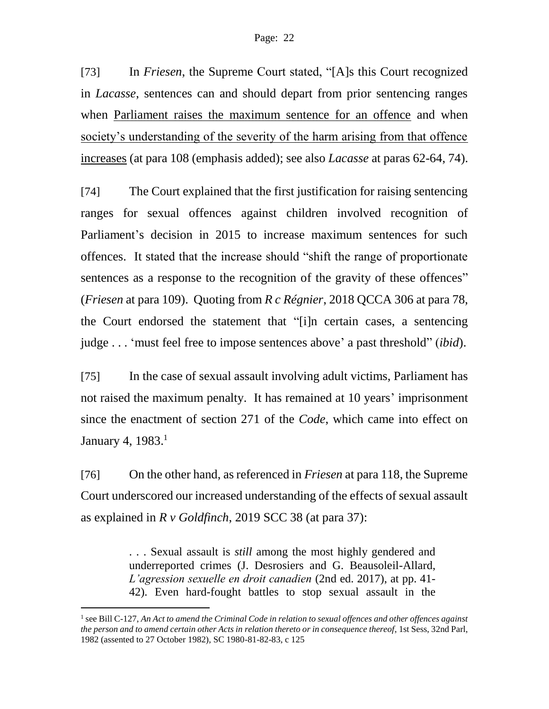[73] In *Friesen*, the Supreme Court stated, "[A]s this Court recognized in *Lacasse*, sentences can and should depart from prior sentencing ranges when Parliament raises the maximum sentence for an offence and when society's understanding of the severity of the harm arising from that offence increases (at para 108 (emphasis added); see also *Lacasse* at paras 62-64, 74).

[74] The Court explained that the first justification for raising sentencing ranges for sexual offences against children involved recognition of Parliament's decision in 2015 to increase maximum sentences for such offences. It stated that the increase should "shift the range of proportionate sentences as a response to the recognition of the gravity of these offences" (*Friesen* at para 109). Quoting from *R c Régnier*, 2018 QCCA 306 at para 78, the Court endorsed the statement that "[i]n certain cases, a sentencing judge . . . 'must feel free to impose sentences above' a past threshold" (*ibid*).

[75] In the case of sexual assault involving adult victims, Parliament has not raised the maximum penalty. It has remained at 10 years' imprisonment since the enactment of section 271 of the *Code*, which came into effect on January 4, 1983.<sup>1</sup>

[76] On the other hand, as referenced in *Friesen* at para 118, the Supreme Court underscored our increased understanding of the effects of sexual assault as explained in *R v Goldfinch*, 2019 SCC 38 (at para 37):

> . . . Sexual assault is *still* among the most highly gendered and underreported crimes (J. Desrosiers and G. Beausoleil-Allard, *L'agression sexuelle en droit canadien* (2nd ed. 2017), at pp. 41- 42). Even hard-fought battles to stop sexual assault in the

 $\overline{a}$ 

<sup>&</sup>lt;sup>1</sup> see Bill C-127, An Act to amend the Criminal Code in relation to sexual offences and other offences against *the person and to amend certain other Acts in relation thereto or in consequence thereof*, 1st Sess, 32nd Parl, 1982 (assented to 27 October 1982), SC 1980-81-82-83, c 125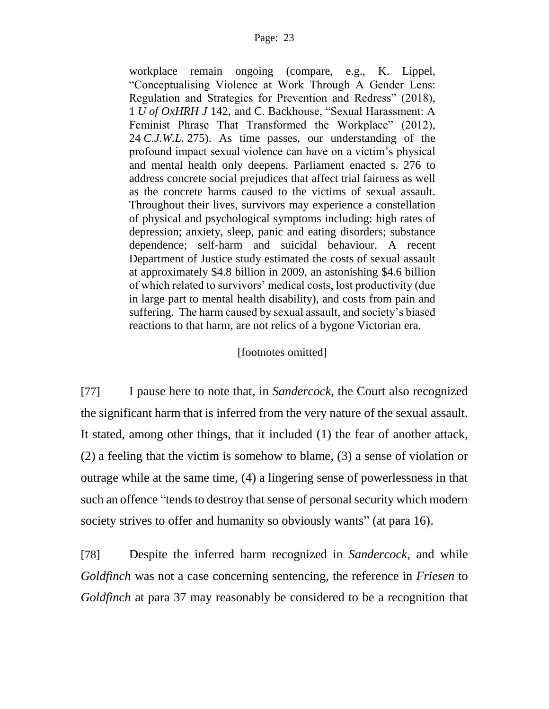workplace remain ongoing (compare, e.g., K. Lippel, "Conceptualising Violence at Work Through A Gender Lens: Regulation and Strategies for Prevention and Redress" (2018), 1 *U of OxHRH J* 142, and C. Backhouse, "Sexual Harassment: A Feminist Phrase That Transformed the Workplace" (2012), 24 *C.J.W.L.* 275). As time passes, our understanding of the profound impact sexual violence can have on a victim's physical and mental health only deepens. Parliament enacted s. 276 to address concrete social prejudices that affect trial fairness as well as the concrete harms caused to the victims of sexual assault. Throughout their lives, survivors may experience a constellation of physical and psychological symptoms including: high rates of depression; anxiety, sleep, panic and eating disorders; substance dependence; self-harm and suicidal behaviour. A recent Department of Justice study estimated the costs of sexual assault at approximately \$4.8 billion in 2009, an astonishing \$4.6 billion of which related to survivors' medical costs, lost productivity (due in large part to mental health disability), and costs from pain and suffering. The harm caused by sexual assault, and society's biased reactions to that harm, are not relics of a bygone Victorian era.

#### [footnotes omitted]

[77] I pause here to note that, in *Sandercock*, the Court also recognized the significant harm that is inferred from the very nature of the sexual assault. It stated, among other things, that it included (1) the fear of another attack, (2) a feeling that the victim is somehow to blame, (3) a sense of violation or outrage while at the same time, (4) a lingering sense of powerlessness in that such an offence "tends to destroy that sense of personal security which modern society strives to offer and humanity so obviously wants" (at para 16).

[78] Despite the inferred harm recognized in *Sandercock*, and while *Goldfinch* was not a case concerning sentencing, the reference in *Friesen* to *Goldfinch* at para 37 may reasonably be considered to be a recognition that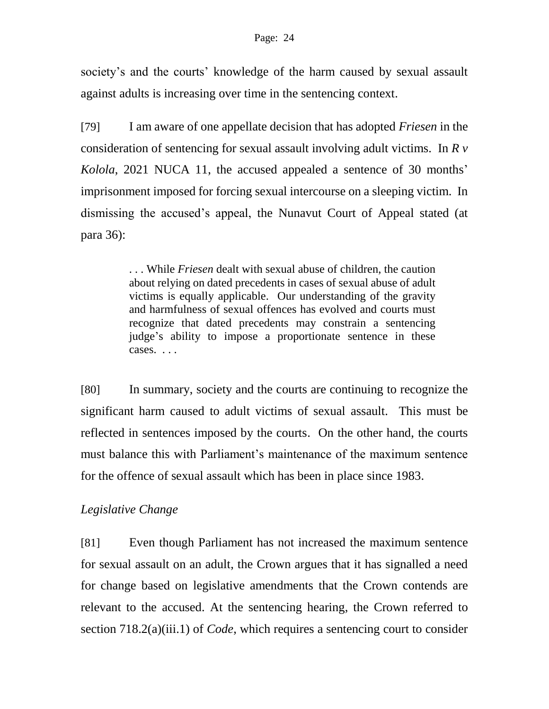society's and the courts' knowledge of the harm caused by sexual assault against adults is increasing over time in the sentencing context.

[79] I am aware of one appellate decision that has adopted *Friesen* in the consideration of sentencing for sexual assault involving adult victims. In *[R v](https://canlii.ca/t/jh57n)  [Kolola](https://canlii.ca/t/jh57n)*, 2021 NUCA 11, the accused appealed a sentence of 30 months' imprisonment imposed for forcing sexual intercourse on a sleeping victim. In dismissing the accused's appeal, the Nunavut Court of Appeal stated (at para 36):

> . . . While *Friesen* dealt with sexual abuse of children, the caution about relying on dated precedents in cases of sexual abuse of adult victims is equally applicable. Our understanding of the gravity and harmfulness of sexual offences has evolved and courts must recognize that dated precedents may constrain a sentencing judge's ability to impose a proportionate sentence in these cases. . . .

[80] In summary, society and the courts are continuing to recognize the significant harm caused to adult victims of sexual assault. This must be reflected in sentences imposed by the courts. On the other hand, the courts must balance this with Parliament's maintenance of the maximum sentence for the offence of sexual assault which has been in place since 1983.

# *Legislative Change*

[81] Even though Parliament has not increased the maximum sentence for sexual assault on an adult, the Crown argues that it has signalled a need for change based on legislative amendments that the Crown contends are relevant to the accused. At the sentencing hearing, the Crown referred to section 718.2(a)(iii.1) of *Code*, which requires a sentencing court to consider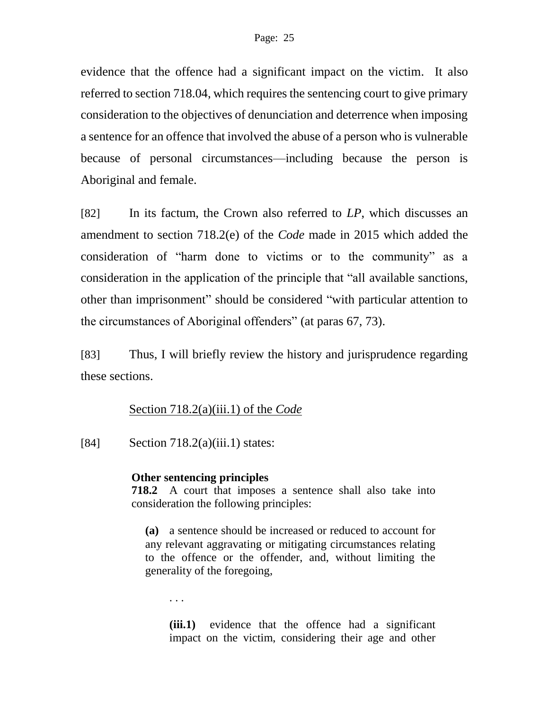evidence that the offence had a significant impact on the victim. It also referred to section 718.04, which requires the sentencing court to give primary consideration to the objectives of denunciation and deterrence when imposing a sentence for an offence that involved the abuse of a person who is vulnerable because of personal circumstances—including because the person is Aboriginal and female.

[82] In its factum, the Crown also referred to *LP*, which discusses an amendment to section 718.2(e) of the *Code* made in 2015 which added the consideration of "harm done to victims or to the community" as a consideration in the application of the principle that "all available sanctions, other than imprisonment" should be considered "with particular attention to the circumstances of Aboriginal offenders" (at paras 67, 73).

[83] Thus, I will briefly review the history and jurisprudence regarding these sections.

## Section 718.2(a)(iii.1) of the *Code*

[84] Section  $718.2(a)(iii.1)$  states:

#### **Other sentencing principles**

**718.2** A court that imposes a sentence shall also take into consideration the following principles:

**(a)** a sentence should be increased or reduced to account for any relevant aggravating or mitigating circumstances relating to the offence or the offender, and, without limiting the generality of the foregoing,

. . .

**(iii.1)** evidence that the offence had a significant impact on the victim, considering their age and other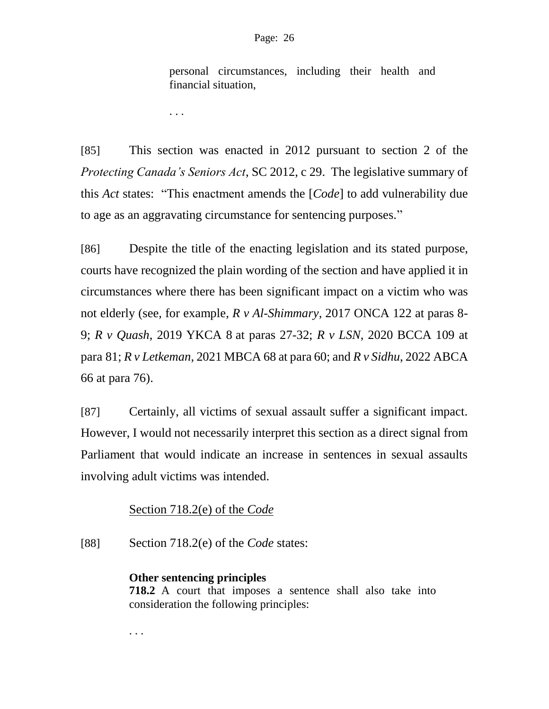personal circumstances, including their health and financial situation,

. . .

[85] This section was enacted in 2012 pursuant to section 2 of the *Protecting Canada's Seniors Act*, SC 2012, c 29. The legislative summary of this *Act* states: "This enactment amends the [*[Code](https://laws-lois.justice.gc.ca/eng/acts/C-46)*] to add vulnerability due to age as an aggravating circumstance for sentencing purposes."

[86] Despite the title of the enacting legislation and its stated purpose, courts have recognized the plain wording of the section and have applied it in circumstances where there has been significant impact on a victim who was not elderly (see, for example, *R v Al-Shimmary*, 2017 ONCA 122 at paras 8- 9; *R v Quash*, 2019 YKCA 8 at paras 27-32; *R v LSN*, 2020 BCCA 109 at para 81; *R v Letkeman*, 2021 MBCA 68 at para 60; and *R v Sidhu*, 2022 ABCA 66 at para 76).

[87] Certainly, all victims of sexual assault suffer a significant impact. However, I would not necessarily interpret this section as a direct signal from Parliament that would indicate an increase in sentences in sexual assaults involving adult victims was intended.

# Section 718.2(e) of the *Code*

[88] Section 718.2(e) of the *Code* states:

## **Other sentencing principles**

. . .

**718.2** A court that imposes a sentence shall also take into consideration the following principles: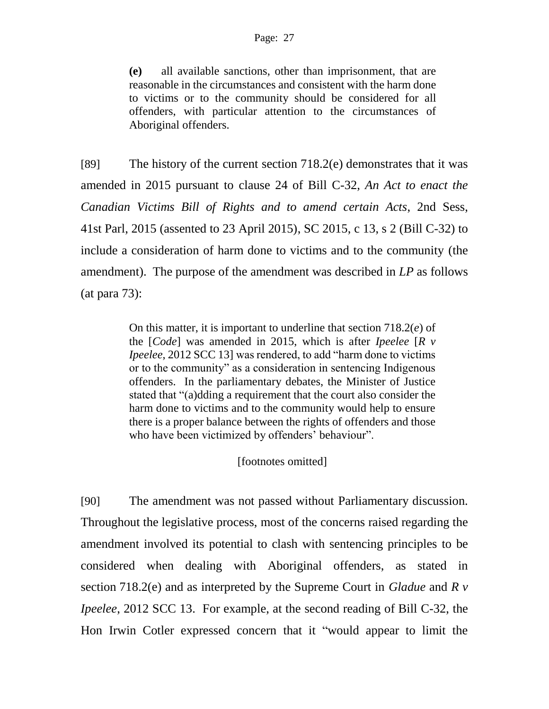**(e)** all available sanctions, other than imprisonment, that are reasonable in the circumstances and consistent with the harm done to victims or to the community should be considered for all offenders, with particular attention to the circumstances of Aboriginal offenders.

[89] The history of the current section 718.2(e) demonstrates that it was amended in 2015 pursuant to clause 24 of Bill C-32, *An Act to enact the Canadian Victims Bill of Rights and to amend certain Acts*, 2nd Sess, 41st Parl, 2015 (assented to 23 April 2015), SC 2015, c 13, s 2 (Bill C-32) to include a consideration of harm done to victims and to the community (the amendment). The purpose of the amendment was described in *LP* as follows (at para 73):

> On this matter, it is important to underline that [section 718.2\(](https://www.canlii.org/en/ca/laws/stat/rsc-1985-c-c-46/latest/rsc-1985-c-c-46.html#sec718.2_smooth)*e*) of the [*Code*] was amended in 2015, which is after *Ipeelee* [*R v Ipeelee*, 2012 SCC 13] was rendered, to add "harm done to victims or to the community" as a consideration in sentencing Indigenous offenders. In the parliamentary debates, the Minister of Justice stated that "(a)dding a requirement that the court also consider the harm done to victims and to the community would help to ensure there is a proper balance between the rights of offenders and those who have been victimized by offenders' behaviour".

> > [footnotes omitted]

[90] The amendment was not passed without Parliamentary discussion. Throughout the legislative process, most of the concerns raised regarding the amendment involved its potential to clash with sentencing principles to be considered when dealing with Aboriginal offenders, as stated in section 718.2(e) and as interpreted by the Supreme Court in *Gladue* and *R v Ipeelee*, 2012 SCC 13. For example, at the second reading of Bill C-32, the Hon Irwin Cotler expressed concern that it "would appear to limit the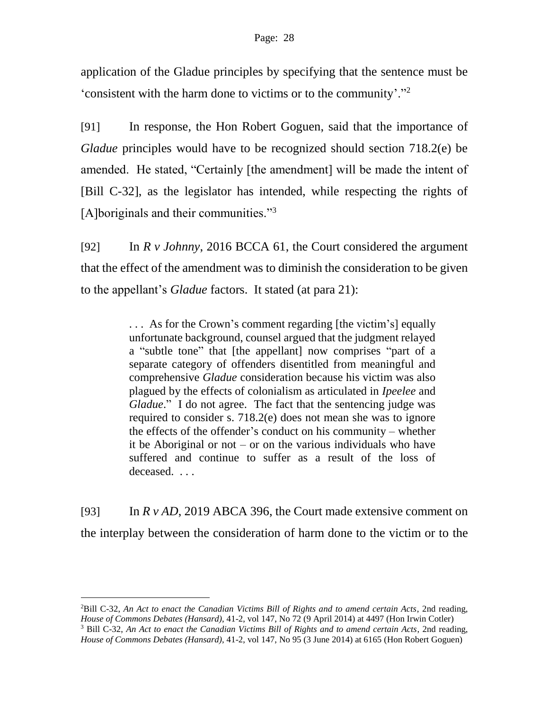application of the Gladue principles by specifying that the sentence must be 'consistent with the harm done to victims or to the community'."<sup>2</sup>

[91] In response, the Hon Robert Goguen, said that the importance of *Gladue* principles would have to be recognized should section 718.2(e) be amended. He stated, "Certainly [the amendment] will be made the intent of [Bill C-32], as the legislator has intended, while respecting the rights of [A]boriginals and their communities."<sup>3</sup>

[92] In *R v Johnny*, 2016 BCCA 61, the Court considered the argument that the effect of the amendment was to diminish the consideration to be given to the appellant's *Gladue* factors. It stated (at para 21):

> . . . As for the Crown's comment regarding [the victim's] equally unfortunate background, counsel argued that the judgment relayed a "subtle tone" that [the appellant] now comprises "part of a separate category of offenders disentitled from meaningful and comprehensive *Gladue* consideration because his victim was also plagued by the effects of colonialism as articulated in *Ipeelee* and *Gladue*." I do not agree. The fact that the sentencing judge was required to consider s. 718.2(e) does not mean she was to ignore the effects of the offender's conduct on his community – whether it be Aboriginal or not – or on the various individuals who have suffered and continue to suffer as a result of the loss of deceased. . . .

[93] In *R v AD*, 2019 ABCA 396, the Court made extensive comment on the interplay between the consideration of harm done to the victim or to the

l

<sup>2</sup>Bill C-32, *An Act to enact the Canadian Victims Bill of Rights and to amend certain Acts*, 2nd reading, *House of Commons Debates (Hansard)*, 41-2, vol 147, No 72 (9 April 2014) at 4497 (Hon Irwin Cotler) <sup>3</sup> Bill C-32, *An Act to enact the Canadian Victims Bill of Rights and to amend certain Acts*, 2nd reading, *House of Commons Debates (Hansard)*, 41-2, vol 147, No 95 (3 June 2014) at 6165 (Hon Robert Goguen)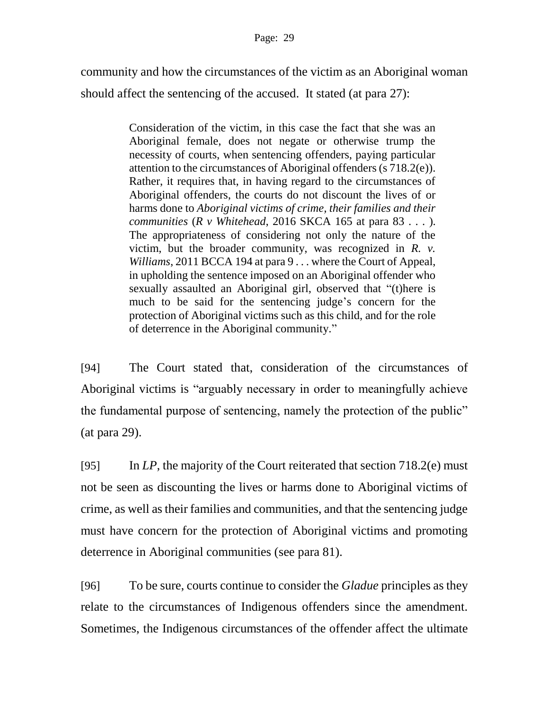community and how the circumstances of the victim as an Aboriginal woman should affect the sentencing of the accused. It stated (at para 27):

> Consideration of the victim, in this case the fact that she was an Aboriginal female, does not negate or otherwise trump the necessity of courts, when sentencing offenders, paying particular attention to the circumstances of Aboriginal offenders (s 718.2(e)). Rather, it requires that, in having regard to the circumstances of Aboriginal offenders, the courts do not discount the lives of or harms done to *Aboriginal victims of crime, their families and their communities* (*R v Whitehead*, 2016 SKCA 165 at para 83 . . . ). The appropriateness of considering not only the nature of the victim, but the broader community, was recognized in *[R. v.](https://canlii.ca/t/fl5r6)  [Williams](https://canlii.ca/t/fl5r6)*, 2011 BCCA 194 at para 9 . . . where the Court of Appeal, in upholding the sentence imposed on an Aboriginal offender who sexually assaulted an Aboriginal girl, observed that "(t)here is much to be said for the sentencing judge's concern for the protection of Aboriginal victims such as this child, and for the role of deterrence in the Aboriginal community."

[94] The Court stated that, consideration of the circumstances of Aboriginal victims is "arguably necessary in order to meaningfully achieve the fundamental purpose of sentencing, namely the protection of the public" (at para 29).

[95] In *LP*, the majority of the Court reiterated that section 718.2(e) must not be seen as discounting the lives or harms done to Aboriginal victims of crime, as well as their families and communities, and that the sentencing judge must have concern for the protection of Aboriginal victims and promoting deterrence in Aboriginal communities (see para 81).

[96] To be sure, courts continue to consider the *Gladue* principles as they relate to the circumstances of Indigenous offenders since the amendment. Sometimes, the Indigenous circumstances of the offender affect the ultimate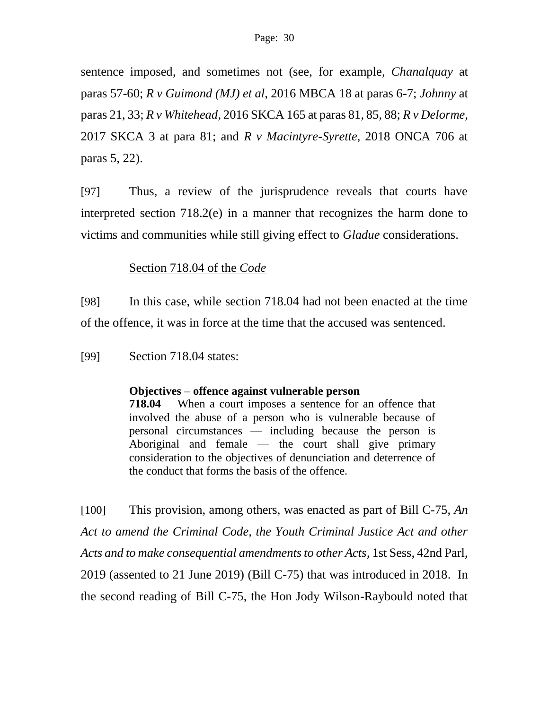sentence imposed, and sometimes not (see, for example, *Chanalquay* at paras 57-60; *[R v Guimond](https://canlii.ca/t/gn95m) (MJ) et al*, 2016 MBCA 18 at paras 6-7; *Johnny* at paras 21, 33; *R v Whitehead*, 2016 SKCA 165 at paras 81, 85, 88; *R v Delorme*, 2017 SKCA 3 at para 81; and *R v Macintyre-Syrette*, 2018 ONCA 706 at paras 5, 22).

[97] Thus, a review of the jurisprudence reveals that courts have interpreted section 718.2(e) in a manner that recognizes the harm done to victims and communities while still giving effect to *Gladue* considerations.

## Section 718.04 of the *Code*

[98] In this case, while section 718.04 had not been enacted at the time of the offence, it was in force at the time that the accused was sentenced.

[99] Section 718.04 states:

#### **Objectives – offence against vulnerable person**

**718.04** When a court imposes a sentence for an offence that involved the abuse of a person who is vulnerable because of personal circumstances — including because the person is Aboriginal and female — the court shall give primary consideration to the objectives of denunciation and deterrence of the conduct that forms the basis of the offence.

[100] This provision, among others, was enacted as part of Bill C-75, *An Act to amend the Criminal Code, the Youth Criminal Justice Act and other Acts and to make consequential amendments to other Acts*, 1st Sess, 42nd Parl, 2019 (assented to 21 June 2019) (Bill C-75) that was introduced in 2018. In the second reading of Bill C-75, the Hon Jody Wilson-Raybould noted that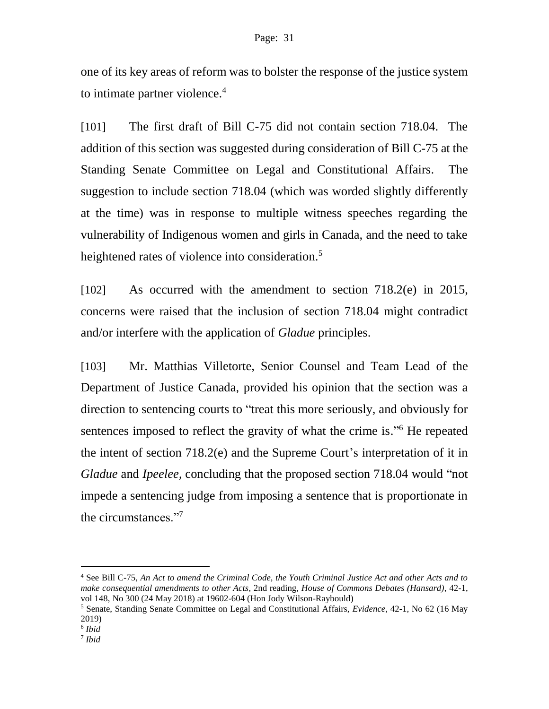one of its key areas of reform was to bolster the response of the justice system to intimate partner violence.<sup>4</sup>

[101] The first draft of Bill C-75 did not contain section 718.04. The addition of this section was suggested during consideration of Bill C-75 at the Standing Senate Committee on Legal and Constitutional Affairs. The suggestion to include section 718.04 (which was worded slightly differently at the time) was in response to multiple witness speeches regarding the vulnerability of Indigenous women and girls in Canada, and the need to take heightened rates of violence into consideration.<sup>5</sup>

[102] As occurred with the amendment to section 718.2(e) in 2015, concerns were raised that the inclusion of section 718.04 might contradict and/or interfere with the application of *Gladue* principles.

[103] Mr. Matthias Villetorte, Senior Counsel and Team Lead of the Department of Justice Canada, provided his opinion that the section was a direction to sentencing courts to "treat this more seriously, and obviously for sentences imposed to reflect the gravity of what the crime is."<sup>6</sup> He repeated the intent of section 718.2(e) and the Supreme Court's interpretation of it in *Gladue* and *Ipeelee*, concluding that the proposed section 718.04 would "not impede a sentencing judge from imposing a sentence that is proportionate in the circumstances."<sup>7</sup>

 $\overline{a}$ 

<sup>4</sup> See Bill C-75, *An Act to amend the Criminal Code, the Youth Criminal Justice Act and other Acts and to make consequential amendments to other Acts*, 2nd reading, *House of Commons Debates (Hansard)*, 42-1, vol 148, No 300 (24 May 2018) at 19602-604 (Hon Jody Wilson-Raybould)

<sup>5</sup> Senate, Standing Senate Committee on Legal and Constitutional Affairs, *Evidence*, 42-1, No 62 (16 May 2019)

<sup>6</sup> *Ibid*

<sup>7</sup> *Ibid*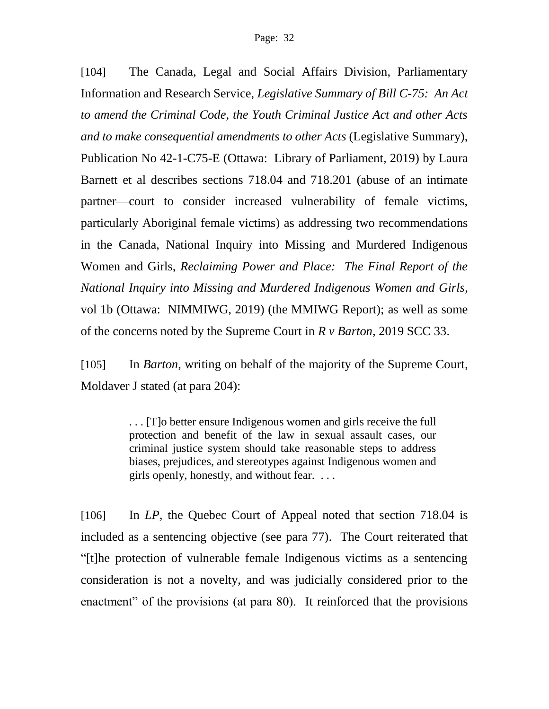[104] The Canada, Legal and Social Affairs Division, Parliamentary Information and Research Service, *Legislative Summary of Bill C-75: An Act to amend the Criminal Code, the Youth Criminal Justice Act and other Acts and to make consequential amendments to other Acts* (Legislative Summary), Publication No 42-1-C75-E (Ottawa: Library of Parliament, 2019) by Laura Barnett et al describes sections 718.04 and 718.201 (abuse of an intimate partner—court to consider increased vulnerability of female victims, particularly Aboriginal female victims) as addressing two recommendations in the Canada, National Inquiry into Missing and Murdered Indigenous Women and Girls, *Reclaiming Power and Place: The Final Report of the National Inquiry into Missing and Murdered Indigenous Women and Girls*, vol 1b (Ottawa: NIMMIWG, 2019) (the MMIWG Report); as well as some of the concerns noted by the Supreme Court in *R v Barton*, 2019 SCC 33.

[105] In *Barton*, writing on behalf of the majority of the Supreme Court, Moldaver J stated (at para 204):

> . . . [T]o better ensure Indigenous women and girls receive the full protection and benefit of the law in sexual assault cases, our criminal justice system should take reasonable steps to address biases, prejudices, and stereotypes against Indigenous women and girls openly, honestly, and without fear. . . .

[106] In *LP*, the Quebec Court of Appeal noted that section 718.04 is included as a sentencing objective (see para 77). The Court reiterated that "[t]he protection of vulnerable female Indigenous victims as a sentencing consideration is not a novelty, and was judicially considered prior to the enactment" of the provisions (at para 80). It reinforced that the provisions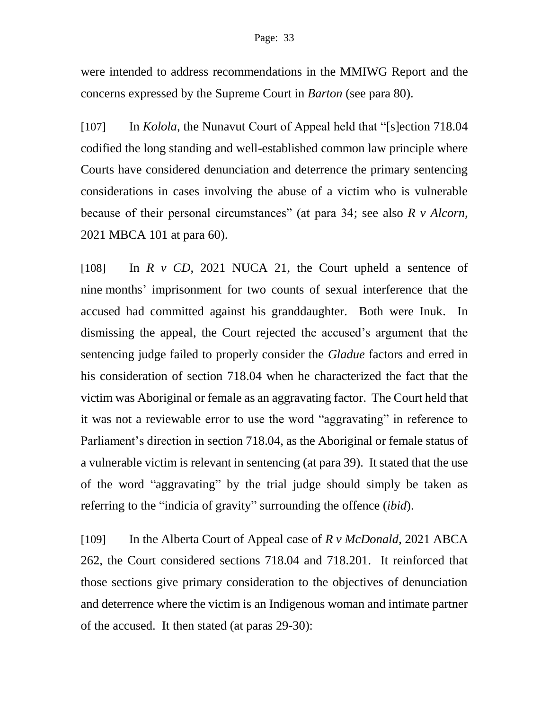were intended to address recommendations in the MMIWG Report and the concerns expressed by the Supreme Court in *Barton* (see para 80).

[107] In *Kolola*, the Nunavut Court of Appeal held that "[s]ection 718.04 codified the long standing and well-established common law principle where Courts have considered denunciation and deterrence the primary sentencing considerations in cases involving the abuse of a victim who is vulnerable because of their personal circumstances" (at para 34; see also *R v Alcorn*, 2021 MBCA 101 at para 60).

[108] In *R v CD*, 2021 NUCA 21, the Court upheld a sentence of nine months' imprisonment for two counts of sexual interference that the accused had committed against his granddaughter. Both were Inuk. In dismissing the appeal, the Court rejected the accused's argument that the sentencing judge failed to properly consider the *Gladue* factors and erred in his consideration of section 718.04 when he characterized the fact that the victim was Aboriginal or female as an aggravating factor. The Court held that it was not a reviewable error to use the word "aggravating" in reference to Parliament's direction in section 718.04, as the Aboriginal or female status of a vulnerable victim is relevant in sentencing (at para 39). It stated that the use of the word "aggravating" by the trial judge should simply be taken as referring to the "indicia of gravity" surrounding the offence (*ibid*).

[109] In the Alberta Court of Appeal case of *R v McDonald*, 2021 ABCA 262, the Court considered sections 718.04 and 718.201. It reinforced that those sections give primary consideration to the objectives of denunciation and deterrence where the victim is an Indigenous woman and intimate partner of the accused. It then stated (at paras 29-30):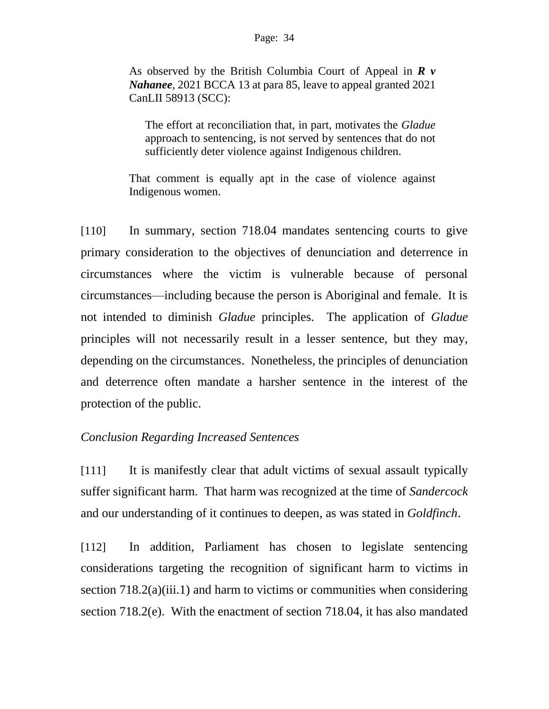#### Page: 34

As observed by the British Columbia Court of Appeal in *R v Nahanee*, 2021 BCCA 13 at para 85, leave to appeal granted 2021 CanLII 58913 (SCC):

The effort at reconciliation that, in part, motivates the *Gladue* approach to sentencing, is not served by sentences that do not sufficiently deter violence against Indigenous children.

That comment is equally apt in the case of violence against Indigenous women.

[110] In summary, section 718.04 mandates sentencing courts to give primary consideration to the objectives of denunciation and deterrence in circumstances where the victim is vulnerable because of personal circumstances—including because the person is Aboriginal and female. It is not intended to diminish *Gladue* principles. The application of *Gladue* principles will not necessarily result in a lesser sentence, but they may, depending on the circumstances. Nonetheless, the principles of denunciation and deterrence often mandate a harsher sentence in the interest of the protection of the public.

## *Conclusion Regarding Increased Sentences*

[111] It is manifestly clear that adult victims of sexual assault typically suffer significant harm. That harm was recognized at the time of *Sandercock* and our understanding of it continues to deepen, as was stated in *Goldfinch*.

[112] In addition, Parliament has chosen to legislate sentencing considerations targeting the recognition of significant harm to victims in section 718.2(a)(iii.1) and harm to victims or communities when considering section 718.2(e). With the enactment of section 718.04, it has also mandated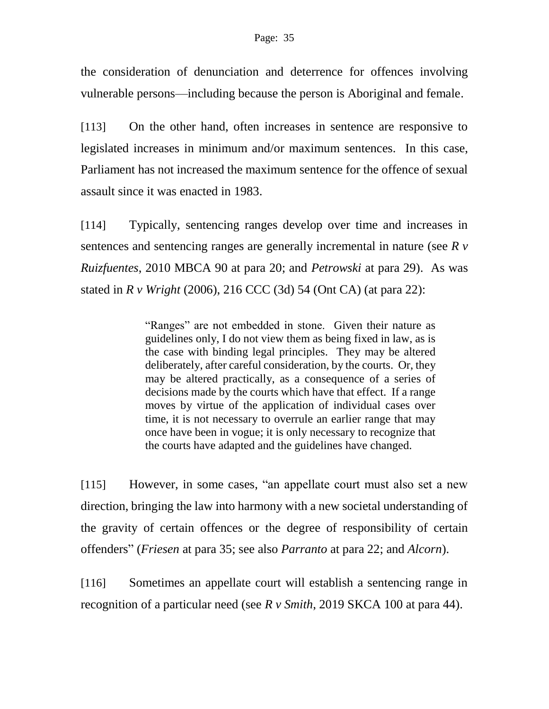the consideration of denunciation and deterrence for offences involving vulnerable persons—including because the person is Aboriginal and female.

[113] On the other hand, often increases in sentence are responsive to legislated increases in minimum and/or maximum sentences. In this case, Parliament has not increased the maximum sentence for the offence of sexual assault since it was enacted in 1983.

[114] Typically, sentencing ranges develop over time and increases in sentences and sentencing ranges are generally incremental in nature (see *R v Ruizfuentes*, 2010 MBCA 90 at para 20; and *Petrowski* at para 29). As was stated in *R v Wright* (2006), 216 CCC (3d) 54 (Ont CA) (at para 22):

> "Ranges" are not embedded in stone. Given their nature as guidelines only, I do not view them as being fixed in law, as is the case with binding legal principles. They may be altered deliberately, after careful consideration, by the courts. Or, they may be altered practically, as a consequence of a series of decisions made by the courts which have that effect. If a range moves by virtue of the application of individual cases over time, it is not necessary to overrule an earlier range that may once have been in vogue; it is only necessary to recognize that the courts have adapted and the guidelines have changed.

[115] However, in some cases, "an appellate court must also set a new direction, bringing the law into harmony with a new societal understanding of the gravity of certain offences or the degree of responsibility of certain offenders" (*Friesen* at para 35; see also *Parranto* at para 22; and *Alcorn*).

[116] Sometimes an appellate court will establish a sentencing range in recognition of a particular need (see *R v Smith*, 2019 SKCA 100 at para 44).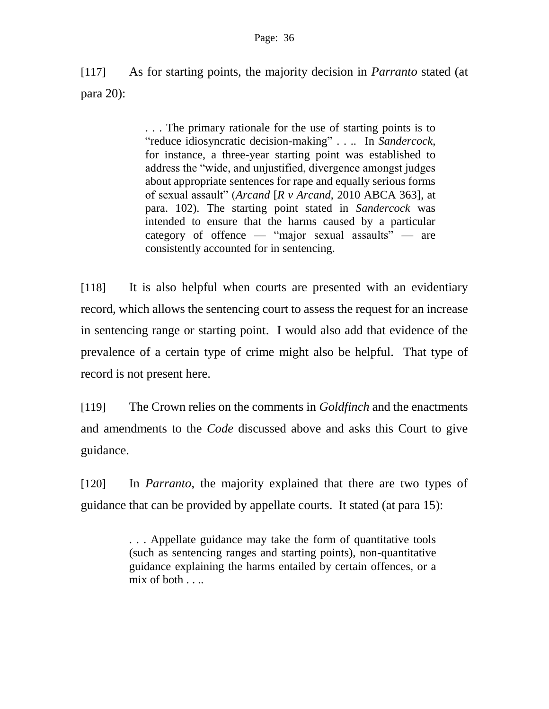[117] As for starting points, the majority decision in *Parranto* stated (at para 20):

> . . . The primary rationale for the use of starting points is to "reduce idiosyncratic decision-making" . . .. In *Sandercock*, for instance, a three-year starting point was established to address the "wide, and unjustified, divergence amongst judges about appropriate sentences for rape and equally serious forms of sexual assault" (*Arcand* [*R v Arcand*, 2010 ABCA 363], at para. 102). The starting point stated in *Sandercock* was intended to ensure that the harms caused by a particular category of offence — "major sexual assaults" — are consistently accounted for in sentencing.

[118] It is also helpful when courts are presented with an evidentiary record, which allows the sentencing court to assess the request for an increase in sentencing range or starting point. I would also add that evidence of the prevalence of a certain type of crime might also be helpful. That type of record is not present here.

[119] The Crown relies on the comments in *Goldfinch* and the enactments and amendments to the *Code* discussed above and asks this Court to give guidance.

[120] In *Parranto*, the majority explained that there are two types of guidance that can be provided by appellate courts. It stated (at para 15):

> . . . Appellate guidance may take the form of quantitative tools (such as sentencing ranges and starting points), non-quantitative guidance explaining the harms entailed by certain offences, or a mix of both  $\ldots$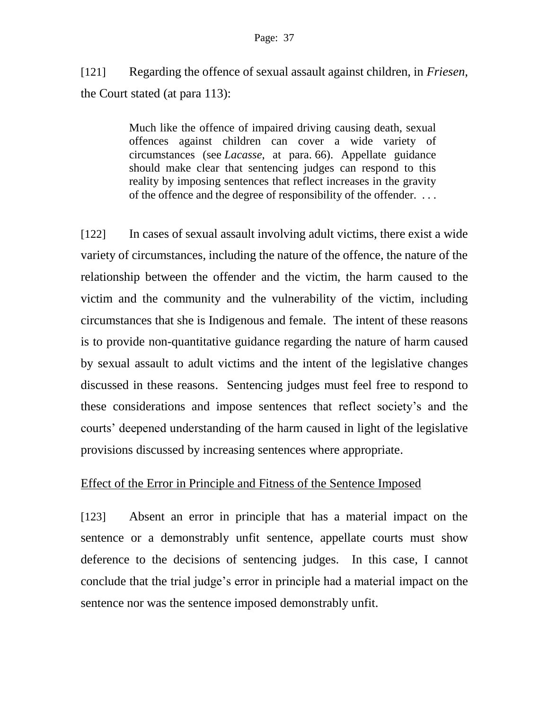#### Page: 37

[121] Regarding the offence of sexual assault against children, in *Friesen*, the Court stated (at para 113):

> Much like the offence of impaired driving causing death, sexual offences against children can cover a wide variety of circumstances (see *Lacasse*, at para. [66\)](https://www.canlii.org/en/ca/scc/doc/2015/2015scc64/2015scc64.html#par66). Appellate guidance should make clear that sentencing judges can respond to this reality by imposing sentences that reflect increases in the gravity of the offence and the degree of responsibility of the offender. . . .

[122] In cases of sexual assault involving adult victims, there exist a wide variety of circumstances, including the nature of the offence, the nature of the relationship between the offender and the victim, the harm caused to the victim and the community and the vulnerability of the victim, including circumstances that she is Indigenous and female. The intent of these reasons is to provide non-quantitative guidance regarding the nature of harm caused by sexual assault to adult victims and the intent of the legislative changes discussed in these reasons. Sentencing judges must feel free to respond to these considerations and impose sentences that reflect society's and the courts' deepened understanding of the harm caused in light of the legislative provisions discussed by increasing sentences where appropriate.

## Effect of the Error in Principle and Fitness of the Sentence Imposed

[123] Absent an error in principle that has a material impact on the sentence or a demonstrably unfit sentence, appellate courts must show deference to the decisions of sentencing judges. In this case, I cannot conclude that the trial judge's error in principle had a material impact on the sentence nor was the sentence imposed demonstrably unfit.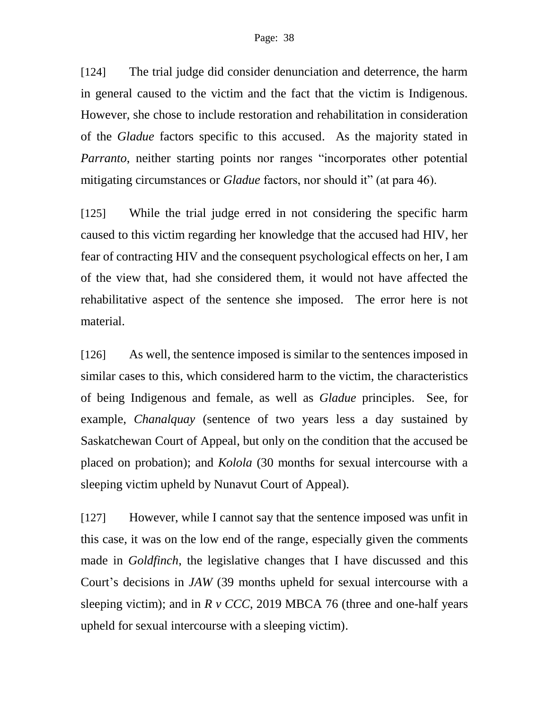[124] The trial judge did consider denunciation and deterrence, the harm in general caused to the victim and the fact that the victim is Indigenous. However, she chose to include restoration and rehabilitation in consideration of the *Gladue* factors specific to this accused. As the majority stated in *Parranto*, neither starting points nor ranges "incorporates other potential mitigating circumstances or *Gladue* factors, nor should it" (at para 46).

[125] While the trial judge erred in not considering the specific harm caused to this victim regarding her knowledge that the accused had HIV, her fear of contracting HIV and the consequent psychological effects on her, I am of the view that, had she considered them, it would not have affected the rehabilitative aspect of the sentence she imposed. The error here is not material.

[126] As well, the sentence imposed is similar to the sentences imposed in similar cases to this, which considered harm to the victim, the characteristics of being Indigenous and female, as well as *Gladue* principles. See, for example, *Chanalquay* (sentence of two years less a day sustained by Saskatchewan Court of Appeal, but only on the condition that the accused be placed on probation); and *Kolola* (30 months for sexual intercourse with a sleeping victim upheld by Nunavut Court of Appeal).

[127] However, while I cannot say that the sentence imposed was unfit in this case, it was on the low end of the range, especially given the comments made in *Goldfinch*, the legislative changes that I have discussed and this Court's decisions in *JAW* (39 months upheld for sexual intercourse with a sleeping victim); and in *R v CCC*, 2019 MBCA 76 (three and one-half years upheld for sexual intercourse with a sleeping victim).